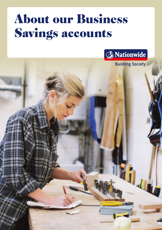## About our Business Savings accounts



**Building Society**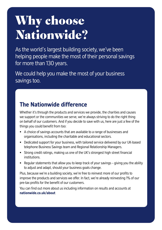# Why choose Nationwide?

As the world's largest building society, we've been helping people make the most of their personal savings for more than 130 years.

We could help you make the most of your business savings too.

### **The Nationwide difference**

Whether it's through the products and services we provide, the charities and causes we support or the communities we serve, we're always striving to do the right thing on behalf of our customers. And if you decide to save with us, here are just a few of the things you could benefit from too:

- **•** A choice of savings accounts that are available to a range of businesses and organisations, including the charitable and educational sectors.
- **•** Dedicated support for your business, with tailored service delivered by our UK-based telephone Business Savings team and Regional Relationship Managers.
- Strong credit ratings, making us one of the UK's strongest high street fnancial institutions.
- Regular statements that allow you to keep track of your savings giving you the ability to adjust and adapt, should your business goals change.

Plus, because we're a building society, we're free to reinvest more of our profits to improve the products and services we offer. In fact, we're already reinvesting 1% of our pre-tax profits for the benefit of our customers.

You can find out more about us including information on results and accounts at **[nationwide.co.uk/about](https://nationwide.co.uk/about)**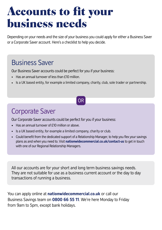## Accounts to fit your business needs

Depending on your needs and the size of your business you could apply for either a Business Saver or a Corporate Saver account. Here's a checklist to help you decide.

## Business Saver

Our Business Saver accounts could be perfect for you if your business:

- Has an annual turnover of less than £10 million.
- Is a UK based entity, for example a limited company, charity, club, sole trader or partnership.

### OR

## Corporate Saver

Our Corporate Saver accounts could be perfect for you if your business:

- Has an annual turnover of £10 million or above.
- Is a UK based entity, for example a limited company, charity or club.
- Could benefit from the dedicated support of a Relationship Manager, to help you flex your savings plans as and when you need to. Visit **[nationwidecommercial.co.uk/contact-us](https://nationwidecommercial.co.uk/contact-us)** to get in touch with one of our Regional Relationship Managers.

All our accounts are for your short and long term business savings needs. They are not suitable for use as a business current account or the day to day transactions of running a business.

You can apply online at **[nationwidecommercial.co.uk](https://nationwidecommercial.co.uk)** or call our Business Savings team on **0800 66 55 11**. We're here Monday to Friday from 9am to 5pm, except bank holidays.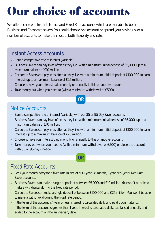## Our choice of accounts

We offer a choice of Instant, Notice and Fixed Rate accounts which are available to both Business and Corporate savers. You could choose one account or spread your savings over a number of accounts to make the most of both fexibility and rate.

#### Instant Access Accounts

- Earn a competitive rate of interest (variable).
- Business Savers can pay in as often as they like, with a minimum initial deposit of £5,000, up to a maximum balance of £10 million.
- Corporate Savers can pay in as often as they like, with a minimum initial deposit of £100,000 to earn interest, up to a maximum balance of £25 million.
- Choose to have your interest paid monthly or annually to this or another account.
- Take money out when you need to (with a minimum withdrawal of £500).

#### OR

#### Notice Accounts

- Earn a competitive rate of interest (variable) with our 35 or 95 Day Saver accounts.
- Business Savers can pay in as often as they like, with a minimum initial deposit of £5,000, up to a maximum balance of £10 million.
- Corporate Savers can pay in as often as they like, with a minimum initial deposit of £100,000 to earn interest, up to a maximum balance of £25 million.
- Choose to have your interest paid monthly or annually to this or another account.
- Take money out when you need to (with a minimum withdrawal of £500) or close the account with 35 or 95 days' notice.

OR

### Fixed Rate Accounts

- Lock your money away for a fixed rate in one of our 1 year, 18 month, 3 year or 5 year Fixed Rate Saver accounts.
- Business Savers can make a single deposit of between £5,000 and £10 million. You won't be able to make a withdrawal during the fixed rate period.
- Corporate Savers can make a single deposit of between £100,000 and £25 million. You won't be able to make a withdrawal during the fixed rate period.
- If the term of the account is 1 year or less, interest is calculated daily and paid upon maturity.
- If the term of the account is greater than 1 year, interest is calculated daily, capitalised annually and added to the account on the anniversary date.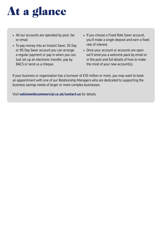# At a glance

- All our accounts are operated by post, fax or email.
- To pay money into an Instant Saver, 35 Day or 95 Day Saver account you can arrange a regular payment or pay in when you can. Just set up an electronic transfer, pay by BACS or send us a cheque.
- If you choose a Fixed Rate Saver account, you'll make a single deposit and earn a fixed rate of interest.
- Once your account or accounts are open we'll send you a welcome pack by email or in the post and full details of how to make the most of your new account(s).

If your business or organisation has a turnover of £10 million or more, you may want to book an appointment with one of our Relationship Managers who are dedicated to supporting the business savings needs of larger or more complex businesses.

Visit **[nationwidecommercial.co.uk/contact-us](https://nationwidecommercial.co.uk/contact-us)** for details.